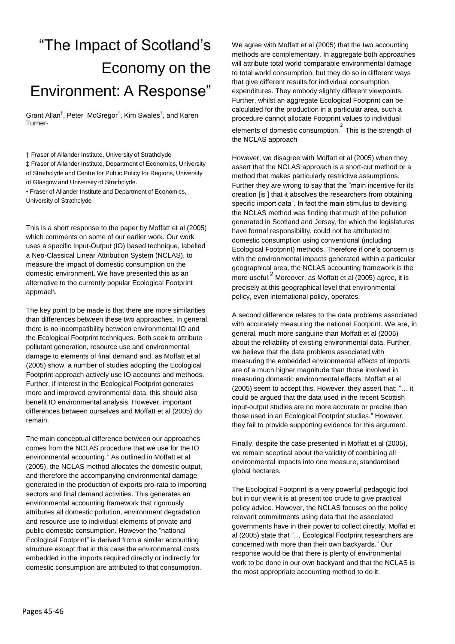## "The Impact of Scotland's Economy on the Environment: A Response"

Grant Allan<sup>†</sup>, Peter McGregor<sup>‡</sup>, Kim Swales<sup>‡</sup>, and Karen Turner•

† Fraser of Allander Institute, University of Strathclyde

‡ Fraser of Allander Institute, Department of Economics, University of Strathclyde and Centre for Public Policy for Regions, University of Glasgow and University of Strathclyde.

• Fraser of Allander Institute and Department of Economics, University of Strathclyde

This is a short response to the paper by Moffatt et al (2005) which comments on some of our earlier work. Our work uses a specific Input-Output (IO) based technique, labelled a Neo-Classical Linear Attribution System (NCLAS), to measure the impact of domestic consumption on the domestic environment. We have presented this as an alternative to the currently popular Ecological Footprint approach.

The key point to be made is that there are more similarities than differences between these two approaches. In general, there is no incompatibility between environmental IO and the Ecological Footprint techniques. Both seek to attribute pollutant generation, resource use and environmental damage to elements of final demand and, as Moffatt et al (2005) show, a number of studies adopting the Ecological Footprint approach actively use IO accounts and methods. Further, if interest in the Ecological Footprint generates more and improved environmental data, this should also benefit IO environmental analysis. However, important differences between ourselves and Moffatt et al (2005) do remain.

The main conceptual difference between our approaches comes from the NCLAS procedure that we use for the IO environmental accounting.<sup>1</sup> As outlined in Moffatt et al (2005), the NCLAS method allocates the domestic output, and therefore the accompanying environmental damage, generated in the production of exports pro-rata to importing sectors and final demand activities. This generates an environmental accounting framework that rigorously attributes all domestic pollution, environment degradation and resource use to individual elements of private and public domestic consumption. However the "national Ecological Footprint" is derived from a similar accounting structure except that in this case the environmental costs embedded in the imports required directly or indirectly for domestic consumption are attributed to that consumption.

We agree with Moffatt et al (2005) that the two accounting methods are complementary. In aggregate both approaches will attribute total world comparable environmental damage to total world consumption, but they do so in different ways that give different results for individual consumption expenditures. They embody slightly different viewpoints. Further, whilst an aggregate Ecological Footprint can be calculated for the production in a particular area, such a procedure cannot allocate Footprint values to individual elements of domestic consumption. $\overline{\text{ }}^{2}$  This is the strength of the NCLAS approach

However, we disagree with Moffatt et al (2005) when they assert that the NCLAS approach is a short-cut method or a method that makes particularly restrictive assumptions. Further they are wrong to say that the "main incentive for its creation [is ] that it absolves the researchers from obtaining specific import data". In fact the main stimulus to devising the NCLAS method was finding that much of the pollution generated in Scotland and Jersey, for which the legislatures have formal responsibility, could not be attributed to domestic consumption using conventional (including Ecological Footprint) methods. Therefore if one's concern is with the environmental impacts generated within a particular geographical area, the NCLAS accounting framework is the more useful.<sup>2</sup> Moreover, as Moffatt et al (2005) agree, it is precisely at this geographical level that environmental policy, even international policy, operates.

A second difference relates to the data problems associated with accurately measuring the national Footprint. We are, in general, much more sanguine than Moffatt et al (2005) about the reliability of existing environmental data. Further, we believe that the data problems associated with measuring the embedded environmental effects of imports are of a much higher magnitude than those involved in measuring domestic environmental effects. Moffatt et al (2005) seem to accept this. However, they assert that: "… it could be argued that the data used in the recent Scottish input-output studies are no more accurate or precise than those used in an Ecological Footprint studies." However, they fail to provide supporting evidence for this argument.

Finally, despite the case presented in Moffatt et al (2005), we remain sceptical about the validity of combining all environmental impacts into one measure, standardised global hectares.

The Ecological Footprint is a very powerful pedagogic tool but in our view it is at present too crude to give practical policy advice. However, the NCLAS focuses on the policy relevant commitments using data that the associated governments have in their power to collect directly. Moffat et al (2005) state that "… Ecological Footprint researchers are concerned with more than their own backyards." Our response would be that there is plenty of environmental work to be done in our own backyard and that the NCLAS is the most appropriate accounting method to do it.